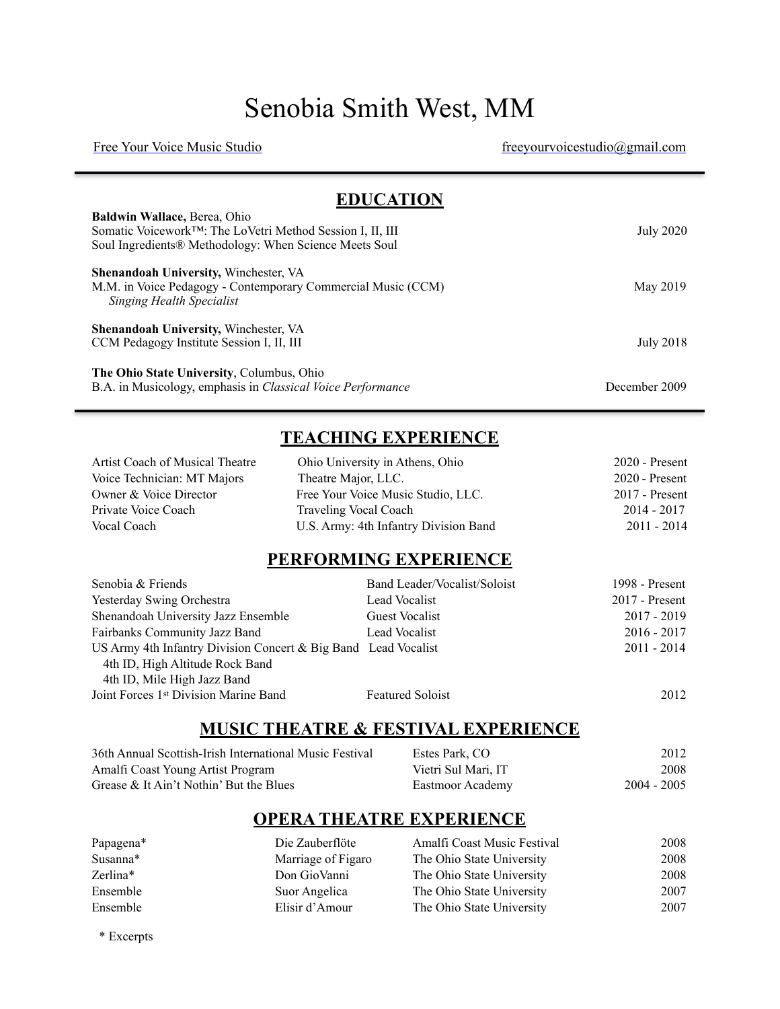# [Senobia Smith West,](https://senobiamsmith.wixsite.com/cvitae) MM

[Free Your Voice Music Studio](http://www.freeyourvoicemusicstudio.com) [freeyourvoicestudio@gmail.com](mailto:freeyourvoicestudio@gmail.com)

| <b>EDUCATION</b>                                                                          |                  |
|-------------------------------------------------------------------------------------------|------------------|
| Baldwin Wallace, Berea, Ohio<br>Somatic Voicework™: The LoVetri Method Session I, II, III | <b>July 2020</b> |
| Soul Ingredients® Methodology: When Science Meets Soul                                    |                  |
| <b>Shenandoah University, Winchester, VA</b>                                              |                  |
| M.M. in Voice Pedagogy - Contemporary Commercial Music (CCM)<br>Singing Health Specialist | May 2019         |
| Shenandoah University, Winchester, VA                                                     |                  |
| CCM Pedagogy Institute Session I, II, III                                                 | <b>July 2018</b> |
| The Ohio State University, Columbus, Ohio                                                 |                  |
| B.A. in Musicology, emphasis in Classical Voice Performance                               | December 2009    |

## **TEACHING EXPERIENCE**

| Artist Coach of Musical Theatre | Ohio University in Athens, Ohio       | $2020$ - Present |
|---------------------------------|---------------------------------------|------------------|
| Voice Technician: MT Majors     | Theatre Major, LLC.                   | 2020 - Present   |
| Owner & Voice Director          | Free Your Voice Music Studio, LLC.    | $2017$ - Present |
| Private Voice Coach             | Traveling Vocal Coach                 | $2014 - 2017$    |
| Vocal Coach                     | U.S. Army: 4th Infantry Division Band | 2011 - 2014      |

#### **PERFORMING EXPERIENCE**

| Senobia & Friends                                                                                                                | Band Leader/Vocalist/Soloist | 1998 - Present   |
|----------------------------------------------------------------------------------------------------------------------------------|------------------------------|------------------|
| <b>Yesterday Swing Orchestra</b>                                                                                                 | Lead Vocalist                | $2017$ - Present |
| Shenandoah University Jazz Ensemble                                                                                              | <b>Guest Vocalist</b>        | $2017 - 2019$    |
| Fairbanks Community Jazz Band                                                                                                    | Lead Vocalist                | $2016 - 2017$    |
| US Army 4th Infantry Division Concert & Big Band Lead Vocalist<br>4th ID, High Altitude Rock Band<br>4th ID, Mile High Jazz Band |                              | $2011 - 2014$    |
| Joint Forces 1 <sup>st</sup> Division Marine Band                                                                                | <b>Featured Soloist</b>      | 2012             |

#### **MUSIC THEATRE & FESTIVAL EXPERIENCE**

| 36th Annual Scottish-Irish International Music Festival | Estes Park, CO      | 2012          |
|---------------------------------------------------------|---------------------|---------------|
| Amalfi Coast Young Artist Program                       | Vietri Sul Mari, IT | 2008          |
| Grease $\&$ It Ain't Nothin' But the Blues              | Eastmoor Academy    | $2004 - 2005$ |

### **OPERA THEATRE EXPERIENCE**

| Papagena* | Die Zauberflöte    | Amalfi Coast Music Festival | 2008 |
|-----------|--------------------|-----------------------------|------|
| Susanna*  | Marriage of Figaro | The Ohio State University   | 2008 |
| Zerlina*  | Don GioVanni       | The Ohio State University   | 2008 |
| Ensemble  | Suor Angelica      | The Ohio State University   | 2007 |
| Ensemble  | Elisir d'Amour     | The Ohio State University   | 2007 |

\* Excerpts